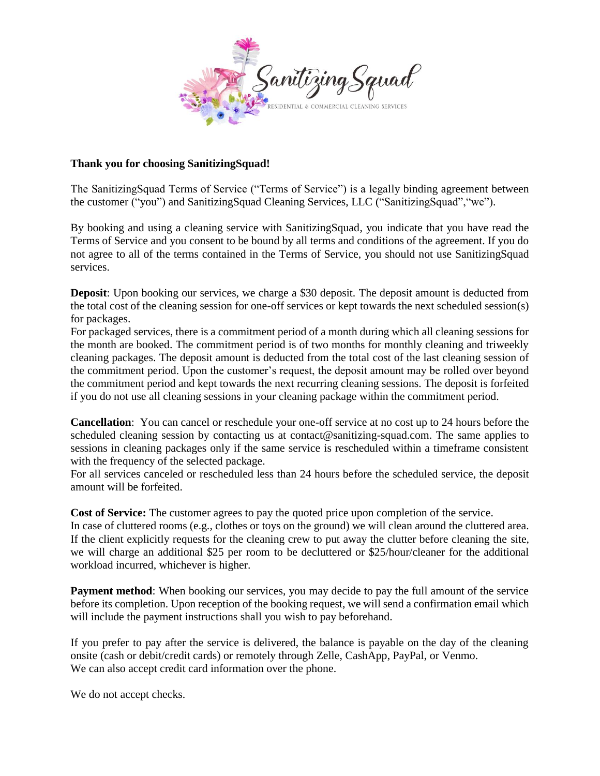

## **Thank you for choosing SanitizingSquad!**

The SanitizingSquad Terms of Service ("Terms of Service") is a legally binding agreement between the customer ("you") and SanitizingSquad Cleaning Services, LLC ("SanitizingSquad","we").

By booking and using a cleaning service with SanitizingSquad, you indicate that you have read the Terms of Service and you consent to be bound by all terms and conditions of the agreement. If you do not agree to all of the terms contained in the Terms of Service, you should not use SanitizingSquad services.

**Deposit**: Upon booking our services, we charge a \$30 deposit. The deposit amount is deducted from the total cost of the cleaning session for one-off services or kept towards the next scheduled session(s) for packages.

For packaged services, there is a commitment period of a month during which all cleaning sessions for the month are booked. The commitment period is of two months for monthly cleaning and triweekly cleaning packages. The deposit amount is deducted from the total cost of the last cleaning session of the commitment period. Upon the customer's request, the deposit amount may be rolled over beyond the commitment period and kept towards the next recurring cleaning sessions. The deposit is forfeited if you do not use all cleaning sessions in your cleaning package within the commitment period.

**Cancellation**: You can cancel or reschedule your one-off service at no cost up to 24 hours before the scheduled cleaning session by contacting us at contact@sanitizing-squad.com. The same applies to sessions in cleaning packages only if the same service is rescheduled within a timeframe consistent with the frequency of the selected package.

For all services canceled or rescheduled less than 24 hours before the scheduled service, the deposit amount will be forfeited.

**Cost of Service:** The customer agrees to pay the quoted price upon completion of the service.

In case of cluttered rooms (e.g., clothes or toys on the ground) we will clean around the cluttered area. If the client explicitly requests for the cleaning crew to put away the clutter before cleaning the site, we will charge an additional \$25 per room to be decluttered or \$25/hour/cleaner for the additional workload incurred, whichever is higher.

**Payment method**: When booking our services, you may decide to pay the full amount of the service before its completion. Upon reception of the booking request, we will send a confirmation email which will include the payment instructions shall you wish to pay beforehand.

If you prefer to pay after the service is delivered, the balance is payable on the day of the cleaning onsite (cash or debit/credit cards) or remotely through Zelle, CashApp, PayPal, or Venmo. We can also accept credit card information over the phone.

We do not accept checks.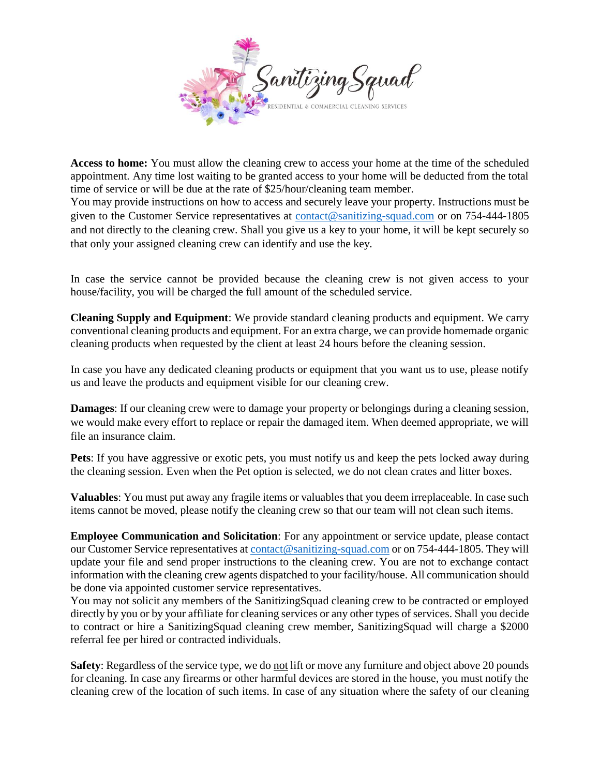

**Access to home:** You must allow the cleaning crew to access your home at the time of the scheduled appointment. Any time lost waiting to be granted access to your home will be deducted from the total time of service or will be due at the rate of \$25/hour/cleaning team member.

You may provide instructions on how to access and securely leave your property. Instructions must be given to the Customer Service representatives at [contact@sanitizing-squad.com](mailto:contact@sanitizing-squad.com) or on 754-444-1805 and not directly to the cleaning crew. Shall you give us a key to your home, it will be kept securely so that only your assigned cleaning crew can identify and use the key.

In case the service cannot be provided because the cleaning crew is not given access to your house/facility, you will be charged the full amount of the scheduled service.

**Cleaning Supply and Equipment**: We provide standard cleaning products and equipment. We carry conventional cleaning products and equipment. For an extra charge, we can provide homemade organic cleaning products when requested by the client at least 24 hours before the cleaning session.

In case you have any dedicated cleaning products or equipment that you want us to use, please notify us and leave the products and equipment visible for our cleaning crew.

**Damages**: If our cleaning crew were to damage your property or belongings during a cleaning session, we would make every effort to replace or repair the damaged item. When deemed appropriate, we will file an insurance claim.

**Pets**: If you have aggressive or exotic pets, you must notify us and keep the pets locked away during the cleaning session. Even when the Pet option is selected, we do not clean crates and litter boxes.

**Valuables**: You must put away any fragile items or valuables that you deem irreplaceable. In case such items cannot be moved, please notify the cleaning crew so that our team will not clean such items.

**Employee Communication and Solicitation**: For any appointment or service update, please contact our Customer Service representatives a[t contact@sanitizing-squad.com](mailto:contact@sanitizing-squad.com) or on 754-444-1805. They will update your file and send proper instructions to the cleaning crew. You are not to exchange contact information with the cleaning crew agents dispatched to your facility/house. All communication should be done via appointed customer service representatives.

You may not solicit any members of the SanitizingSquad cleaning crew to be contracted or employed directly by you or by your affiliate for cleaning services or any other types of services. Shall you decide to contract or hire a SanitizingSquad cleaning crew member, SanitizingSquad will charge a \$2000 referral fee per hired or contracted individuals.

**Safety**: Regardless of the service type, we do not lift or move any furniture and object above 20 pounds for cleaning. In case any firearms or other harmful devices are stored in the house, you must notify the cleaning crew of the location of such items. In case of any situation where the safety of our cleaning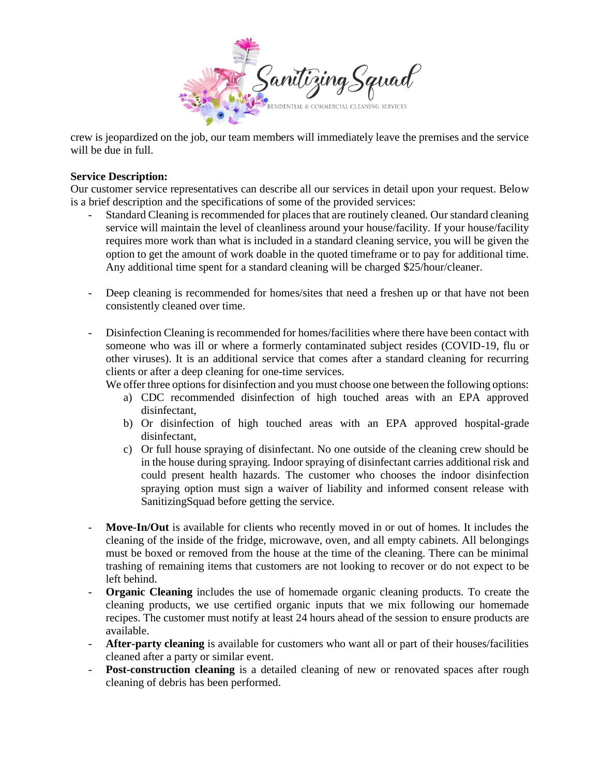

crew is jeopardized on the job, our team members will immediately leave the premises and the service will be due in full.

## **Service Description:**

Our customer service representatives can describe all our services in detail upon your request. Below is a brief description and the specifications of some of the provided services:

- Standard Cleaning is recommended for places that are routinely cleaned. Our standard cleaning service will maintain the level of cleanliness around your house/facility. If your house/facility requires more work than what is included in a standard cleaning service, you will be given the option to get the amount of work doable in the quoted timeframe or to pay for additional time. Any additional time spent for a standard cleaning will be charged \$25/hour/cleaner.
- Deep cleaning is recommended for homes/sites that need a freshen up or that have not been consistently cleaned over time.
- Disinfection Cleaning is recommended for homes/facilities where there have been contact with someone who was ill or where a formerly contaminated subject resides (COVID-19, flu or other viruses). It is an additional service that comes after a standard cleaning for recurring clients or after a deep cleaning for one-time services.
	- We offer three options for disinfection and you must choose one between the following options:
		- a) CDC recommended disinfection of high touched areas with an EPA approved disinfectant,
		- b) Or disinfection of high touched areas with an EPA approved hospital-grade disinfectant,
		- c) Or full house spraying of disinfectant. No one outside of the cleaning crew should be in the house during spraying. Indoor spraying of disinfectant carries additional risk and could present health hazards. The customer who chooses the indoor disinfection spraying option must sign a waiver of liability and informed consent release with SanitizingSquad before getting the service.
- **Move-In/Out** is available for clients who recently moved in or out of homes. It includes the cleaning of the inside of the fridge, microwave, oven, and all empty cabinets. All belongings must be boxed or removed from the house at the time of the cleaning. There can be minimal trashing of remaining items that customers are not looking to recover or do not expect to be left behind.
- **Organic Cleaning** includes the use of homemade organic cleaning products. To create the cleaning products, we use certified organic inputs that we mix following our homemade recipes. The customer must notify at least 24 hours ahead of the session to ensure products are available.
- After-party cleaning is available for customers who want all or part of their houses/facilities cleaned after a party or similar event.
- **Post-construction cleaning** is a detailed cleaning of new or renovated spaces after rough cleaning of debris has been performed.